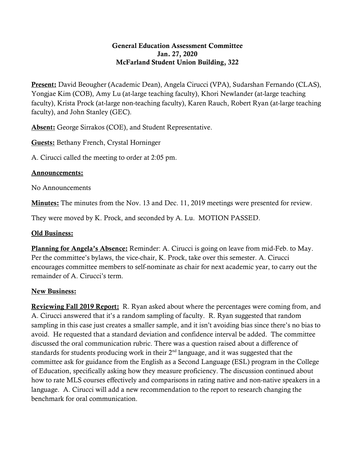## General Education Assessment Committee Jan. 27, 2020 McFarland Student Union Building, 322

Present: David Beougher (Academic Dean), Angela Cirucci (VPA), Sudarshan Fernando (CLAS), Yongjae Kim (COB), Amy Lu (at-large teaching faculty), Khori Newlander (at-large teaching faculty), Krista Prock (at-large non-teaching faculty), Karen Rauch, Robert Ryan (at-large teaching faculty), and John Stanley (GEC).

Absent: George Sirrakos (COE), and Student Representative.

Guests: Bethany French, Crystal Horninger

A. Cirucci called the meeting to order at 2:05 pm.

## Announcements:

No Announcements

Minutes: The minutes from the Nov. 13 and Dec. 11, 2019 meetings were presented for review.

They were moved by K. Prock, and seconded by A. Lu. MOTION PASSED.

## Old Business:

Planning for Angela's Absence: Reminder: A. Cirucci is going on leave from mid-Feb. to May. Per the committee's bylaws, the vice-chair, K. Prock, take over this semester. A. Cirucci encourages committee members to self-nominate as chair for next academic year, to carry out the remainder of A. Cirucci's term.

## New Business:

Reviewing Fall 2019 Report: R. Ryan asked about where the percentages were coming from, and A. Cirucci answered that it's a random sampling of faculty. R. Ryan suggested that random sampling in this case just creates a smaller sample, and it isn't avoiding bias since there's no bias to avoid. He requested that a standard deviation and confidence interval be added. The committee discussed the oral communication rubric. There was a question raised about a difference of standards for students producing work in their  $2<sup>nd</sup>$  language, and it was suggested that the committee ask for guidance from the English as a Second Language (ESL) program in the College of Education, specifically asking how they measure proficiency. The discussion continued about how to rate MLS courses effectively and comparisons in rating native and non-native speakers in a language. A. Cirucci will add a new recommendation to the report to research changing the benchmark for oral communication.